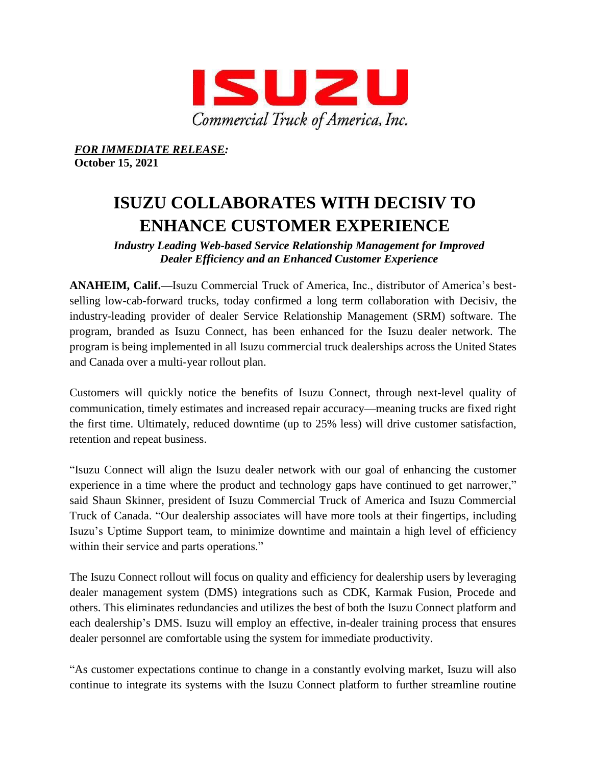

*FOR IMMEDIATE RELEASE:*

**October 15, 2021**

## **ISUZU COLLABORATES WITH DECISIV TO ENHANCE CUSTOMER EXPERIENCE**

*Industry Leading Web-based Service Relationship Management for Improved Dealer Efficiency and an Enhanced Customer Experience*

**ANAHEIM, Calif.—**Isuzu Commercial Truck of America, Inc., distributor of America's bestselling low-cab-forward trucks, today confirmed a long term collaboration with Decisiv, the industry-leading provider of dealer Service Relationship Management (SRM) software. The program, branded as Isuzu Connect, has been enhanced for the Isuzu dealer network. The program is being implemented in all Isuzu commercial truck dealerships across the United States and Canada over a multi-year rollout plan.

Customers will quickly notice the benefits of Isuzu Connect, through next-level quality of communication, timely estimates and increased repair accuracy—meaning trucks are fixed right the first time. Ultimately, reduced downtime (up to 25% less) will drive customer satisfaction, retention and repeat business.

"Isuzu Connect will align the Isuzu dealer network with our goal of enhancing the customer experience in a time where the product and technology gaps have continued to get narrower," said Shaun Skinner, president of Isuzu Commercial Truck of America and Isuzu Commercial Truck of Canada. "Our dealership associates will have more tools at their fingertips, including Isuzu's Uptime Support team, to minimize downtime and maintain a high level of efficiency within their service and parts operations."

The Isuzu Connect rollout will focus on quality and efficiency for dealership users by leveraging dealer management system (DMS) integrations such as CDK, Karmak Fusion, Procede and others. This eliminates redundancies and utilizes the best of both the Isuzu Connect platform and each dealership's DMS. Isuzu will employ an effective, in-dealer training process that ensures dealer personnel are comfortable using the system for immediate productivity.

"As customer expectations continue to change in a constantly evolving market, Isuzu will also continue to integrate its systems with the Isuzu Connect platform to further streamline routine